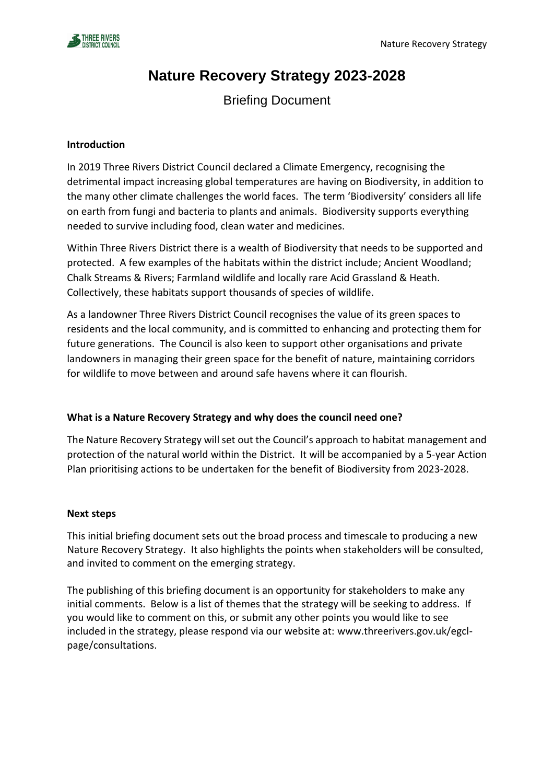

# **Nature Recovery Strategy 2023-2028**

Briefing Document

### **Introduction**

In 2019 Three Rivers District Council declared a Climate Emergency, recognising the detrimental impact increasing global temperatures are having on Biodiversity, in addition to the many other climate challenges the world faces. The term 'Biodiversity' considers all life on earth from fungi and bacteria to plants and animals. Biodiversity supports everything needed to survive including food, clean water and medicines.

Within Three Rivers District there is a wealth of Biodiversity that needs to be supported and protected. A few examples of the habitats within the district include; Ancient Woodland; Chalk Streams & Rivers; Farmland wildlife and locally rare Acid Grassland & Heath. Collectively, these habitats support thousands of species of wildlife.

As a landowner Three Rivers District Council recognises the value of its green spaces to residents and the local community, and is committed to enhancing and protecting them for future generations. The Council is also keen to support other organisations and private landowners in managing their green space for the benefit of nature, maintaining corridors for wildlife to move between and around safe havens where it can flourish.

## **What is a Nature Recovery Strategy and why does the council need one?**

The Nature Recovery Strategy will set out the Council's approach to habitat management and protection of the natural world within the District. It will be accompanied by a 5-year Action Plan prioritising actions to be undertaken for the benefit of Biodiversity from 2023-2028.

#### **Next steps**

This initial briefing document sets out the broad process and timescale to producing a new Nature Recovery Strategy. It also highlights the points when stakeholders will be consulted, and invited to comment on the emerging strategy.

The publishing of this briefing document is an opportunity for stakeholders to make any initial comments. Below is a list of themes that the strategy will be seeking to address. If you would like to comment on this, or submit any other points you would like to see included in the strategy, please respond via our website at: www.threerivers.gov.uk/egclpage/consultations.